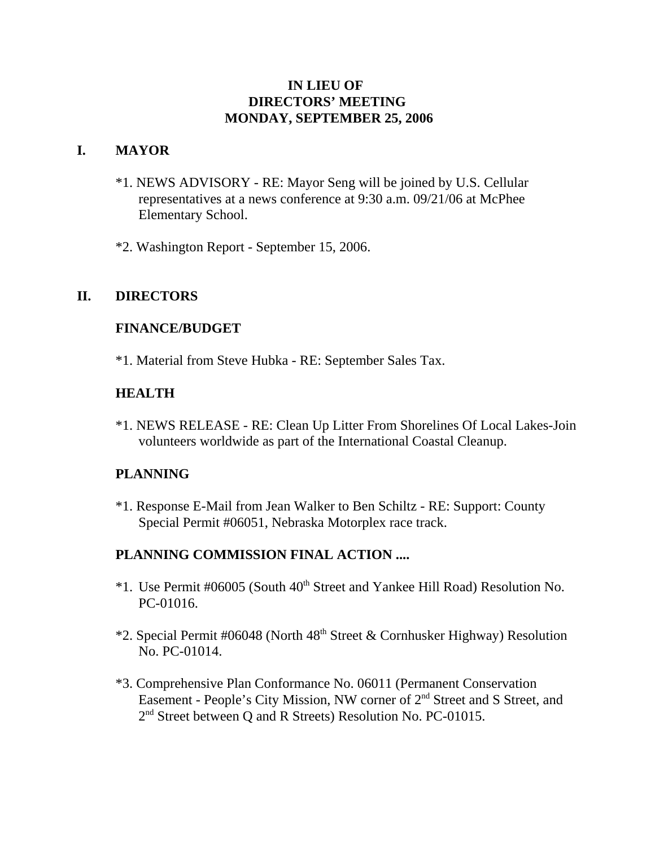### **IN LIEU OF DIRECTORS' MEETING MONDAY, SEPTEMBER 25, 2006**

#### **I. MAYOR**

- \*1. NEWS ADVISORY RE: Mayor Seng will be joined by U.S. Cellular representatives at a news conference at 9:30 a.m. 09/21/06 at McPhee Elementary School.
- \*2. Washington Report September 15, 2006.

### **II. DIRECTORS**

## **FINANCE/BUDGET**

\*1. Material from Steve Hubka - RE: September Sales Tax.

### **HEALTH**

\*1. NEWS RELEASE - RE: Clean Up Litter From Shorelines Of Local Lakes-Join volunteers worldwide as part of the International Coastal Cleanup.

### **PLANNING**

\*1. Response E-Mail from Jean Walker to Ben Schiltz - RE: Support: County Special Permit #06051, Nebraska Motorplex race track.

### **PLANNING COMMISSION FINAL ACTION ....**

- \*1. Use Permit #06005 (South 40<sup>th</sup> Street and Yankee Hill Road) Resolution No. PC-01016.
- \*2. Special Permit #06048 (North 48th Street & Cornhusker Highway) Resolution No. PC-01014.
- \*3. Comprehensive Plan Conformance No. 06011 (Permanent Conservation Easement - People's City Mission, NW corner of 2<sup>nd</sup> Street and S Street, and 2<sup>nd</sup> Street between O and R Streets) Resolution No. PC-01015.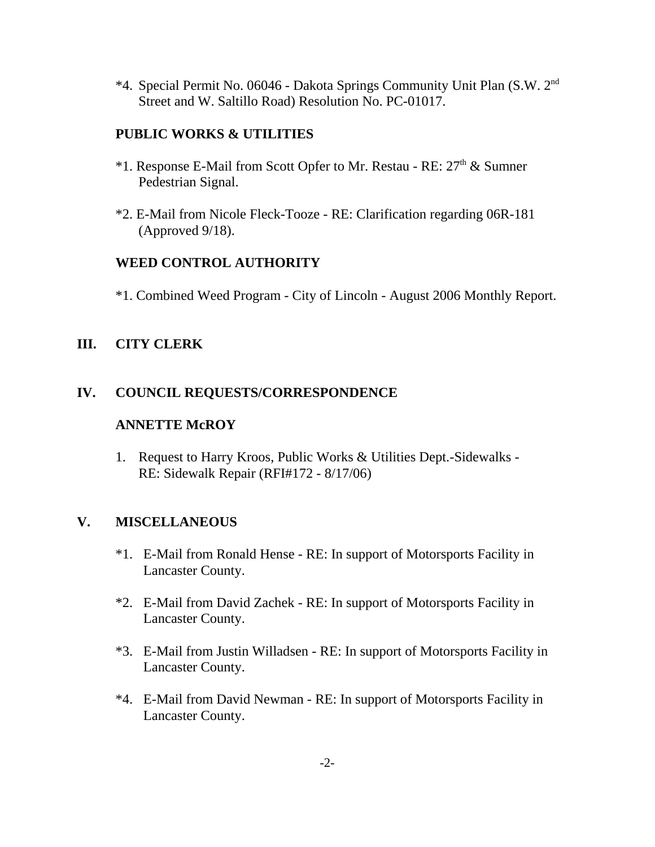\*4. Special Permit No. 06046 - Dakota Springs Community Unit Plan  $(S.W. 2<sup>nd</sup>)$ Street and W. Saltillo Road) Resolution No. PC-01017.

### **PUBLIC WORKS & UTILITIES**

- $*1$ . Response E-Mail from Scott Opfer to Mr. Restau RE:  $27<sup>th</sup>$  & Sumner Pedestrian Signal.
- \*2. E-Mail from Nicole Fleck-Tooze RE: Clarification regarding 06R-181 (Approved 9/18).

# **WEED CONTROL AUTHORITY**

\*1. Combined Weed Program - City of Lincoln - August 2006 Monthly Report.

# **III. CITY CLERK**

## **IV. COUNCIL REQUESTS/CORRESPONDENCE**

### **ANNETTE McROY**

1. Request to Harry Kroos, Public Works & Utilities Dept.-Sidewalks - RE: Sidewalk Repair (RFI#172 - 8/17/06)

# **V. MISCELLANEOUS**

- \*1. E-Mail from Ronald Hense RE: In support of Motorsports Facility in Lancaster County.
- \*2. E-Mail from David Zachek RE: In support of Motorsports Facility in Lancaster County.
- \*3. E-Mail from Justin Willadsen RE: In support of Motorsports Facility in Lancaster County.
- \*4. E-Mail from David Newman RE: In support of Motorsports Facility in Lancaster County.